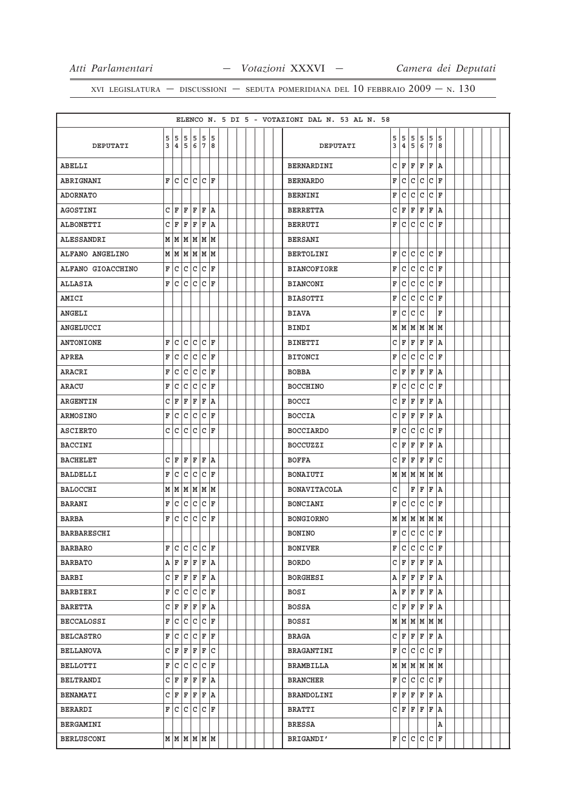|                    |    |     |                         |              |       |                         |  |  |  | ELENCO N. 5 DI 5 - VOTAZIONI DAL N. 53 AL N. 58 |   |                         |     |              |              |                         |  |  |  |
|--------------------|----|-----|-------------------------|--------------|-------|-------------------------|--|--|--|-------------------------------------------------|---|-------------------------|-----|--------------|--------------|-------------------------|--|--|--|
|                    | 5  | 5   | 5                       | 5            |       | 5 5                     |  |  |  |                                                 | 5 | 5                       | 5   | 5            | 5            | 5                       |  |  |  |
| DEPUTATI           | 3  |     | 4 5 6 7 8               |              |       |                         |  |  |  | DEPUTATI                                        | 3 | 4                       | 5   | 6            | 7            | 8                       |  |  |  |
| ABELLI             |    |     |                         |              |       |                         |  |  |  | BERNARDINI                                      | c | ΙF                      | F   | F            | F            | ١A                      |  |  |  |
| ABRIGNANI          |    |     | F C C C C F             |              |       |                         |  |  |  | <b>BERNARDO</b>                                 | F | lc.                     | lc. | l c          | $\mathtt{C}$ | ΙF                      |  |  |  |
| <b>ADORNATO</b>    |    |     |                         |              |       |                         |  |  |  | BERNINI                                         | F | C                       | C   | C            | C            | ΙF                      |  |  |  |
| AGOSTINI           |    | CF  | $\mathbf{F}$            |              | F F A |                         |  |  |  | <b>BERRETTA</b>                                 | С | F                       | F   | F            | F            | ١A                      |  |  |  |
| <b>ALBONETTI</b>   |    | C F | F                       | F            | F     | A                       |  |  |  | <b>BERRUTI</b>                                  | F | lc.                     | lc. | c            | $\mathtt{C}$ | ΙF                      |  |  |  |
| ALESSANDRI         |    |     | M   M   M   M   M       |              |       |                         |  |  |  | <b>BERSANI</b>                                  |   |                         |     |              |              |                         |  |  |  |
| ALFANO ANGELINO    |    |     | M   M   M   M   M       |              |       |                         |  |  |  | <b>BERTOLINI</b>                                | F | lc.                     | lc. | lc.          | $ C $ F      |                         |  |  |  |
| ALFANO GIOACCHINO  | F  | С   | $\mathsf{C}$            | $\mathsf{C}$ |       | C F                     |  |  |  | <b>BIANCOFIORE</b>                              | F | с                       | lc. | l c          | C            | ΙF                      |  |  |  |
| <b>ALLASIA</b>     |    | F C | $\mathsf{C}$            | C            |       | C F                     |  |  |  | <b>BIANCONI</b>                                 | F | lc.                     | lc. | l c          | c            | ΙF                      |  |  |  |
| AMICI              |    |     |                         |              |       |                         |  |  |  | <b>BIASOTTI</b>                                 | F | C                       | c   | $\mathtt{C}$ | $\mathtt{C}$ | ΙF                      |  |  |  |
| <b>ANGELI</b>      |    |     |                         |              |       |                         |  |  |  | <b>BIAVA</b>                                    | F | c                       | c   | lc           |              | $\overline{\mathbf{F}}$ |  |  |  |
| ANGELUCCI          |    |     |                         |              |       |                         |  |  |  | BINDI                                           |   | MM                      | M   | M            | M            | M                       |  |  |  |
| <b>ANTONIONE</b>   | F. | C   | C                       | $\mathsf{C}$ |       | C F                     |  |  |  | <b>BINETTI</b>                                  |   | C∣F                     | F   | F            | F            | ١A                      |  |  |  |
| <b>APREA</b>       | F  | C   | C                       | C            |       | C F                     |  |  |  | <b>BITONCI</b>                                  | F | C                       | c   | c            | $\mathtt{C}$ | ΙF                      |  |  |  |
| ARACRI             | F  | C   | С                       | С            |       | C F                     |  |  |  | <b>BOBBA</b>                                    | C | F                       | F   | F            | F            | A                       |  |  |  |
| ARACU              | F. | C   | С                       | С            |       | C F                     |  |  |  | <b>BOCCHINO</b>                                 | F | lc.                     | l C | ГC           | C            | ΙF                      |  |  |  |
| <b>ARGENTIN</b>    | c  | ΙF  | F                       | F            |       | F A                     |  |  |  | <b>BOCCI</b>                                    | C | F                       | F   | F            | F            | A                       |  |  |  |
| <b>ARMOSINO</b>    | F  | c   | $\mathsf{C}$            | C            |       | C F                     |  |  |  | <b>BOCCIA</b>                                   | C | F                       | F   | F            | F            | ١A                      |  |  |  |
| <b>ASCIERTO</b>    |    | C C | $\vert$ C               | c l          |       | C F                     |  |  |  | <b>BOCCIARDO</b>                                | F | с                       | l c | $\mathsf{C}$ | $\mathtt{C}$ | ΙF                      |  |  |  |
| <b>BACCINI</b>     |    |     |                         |              |       |                         |  |  |  | <b>BOCCUZZI</b>                                 | C | F                       | F   | F            | F            | A                       |  |  |  |
| <b>BACHELET</b>    |    | C F |                         | F F F A      |       |                         |  |  |  | <b>BOFFA</b>                                    |   | C∣F                     | F   | F            | F            | C                       |  |  |  |
| <b>BALDELLI</b>    | F  | С   | c                       | c            |       | C F                     |  |  |  | BONAIUTI                                        |   | M   M                   | M   | M            | M            | M                       |  |  |  |
| <b>BALOCCHI</b>    |    |     | MMMMMMM                 |              |       |                         |  |  |  | <b>BONAVITACOLA</b>                             | C |                         | F   | F            | F            | ١A                      |  |  |  |
| <b>BARANI</b>      | F  | C   | C                       | C            |       | C F                     |  |  |  | BONCIANI                                        | F | C                       | c   | C            | $\mathtt{C}$ | ΙF                      |  |  |  |
| <b>BARBA</b>       | F  | C   | C                       | $\mathtt{C}$ |       | C F                     |  |  |  | <b>BONGIORNO</b>                                |   | MMMM                    |     |              | MM           |                         |  |  |  |
| <b>BARBARESCHI</b> |    |     |                         |              |       |                         |  |  |  | <b>BONINO</b>                                   |   | F C C C                 |     |              | lc.          | F                       |  |  |  |
| <b>BARBARO</b>     |    |     | F C C C F               |              |       |                         |  |  |  | <b>BONIVER</b>                                  |   | FC                      |     | ICICICIF     |              |                         |  |  |  |
| <b>BARBATO</b>     |    |     | $A$ $F$ $F$ $F$ $F$ $A$ |              |       |                         |  |  |  | <b>BORDO</b>                                    |   | C F F F F A             |     |              |              |                         |  |  |  |
| BARBI              |    |     | C F F F F A             |              |       |                         |  |  |  | BORGHESI                                        |   | AFFFF                   |     |              | F A          |                         |  |  |  |
| BARBIERI           |    |     | F C C C F               |              |       |                         |  |  |  | BOSI                                            |   | $A$ $F$ $F$ $F$         |     |              | F A          |                         |  |  |  |
| <b>BARETTA</b>     |    |     | C F F F F A             |              |       |                         |  |  |  | <b>BOSSA</b>                                    |   | C F F F                 |     |              | F A          |                         |  |  |  |
| BECCALOSSI         |    |     | F C C C F               |              |       |                         |  |  |  | BOSSI                                           |   | $M$ $M$ $M$ $M$ $M$ $M$ |     |              |              |                         |  |  |  |
| <b>BELCASTRO</b>   |    |     | F C C C F F             |              |       |                         |  |  |  | BRAGA                                           |   | C F F F F A             |     |              |              |                         |  |  |  |
| <b>BELLANOVA</b>   |    |     | $C$ $F$ $F$ $F$ $F$ $C$ |              |       |                         |  |  |  | BRAGANTINI                                      |   | F C C C                 |     |              | $ C $ F      |                         |  |  |  |
| BELLOTTI           |    |     | F C C C C F             |              |       |                         |  |  |  | BRAMBILLA                                       |   | M   M   M   M   M       |     |              |              |                         |  |  |  |
| BELTRANDI          |    |     | C F F F F A             |              |       |                         |  |  |  | BRANCHER                                        |   | F C C C                 |     |              | $ C $ F      |                         |  |  |  |
| <b>BENAMATI</b>    |    |     | C F F F F A             |              |       |                         |  |  |  | BRANDOLINI                                      |   | F F F F F A             |     |              |              |                         |  |  |  |
| BERARDI            |    |     | F C C C F               |              |       |                         |  |  |  | BRATTI                                          |   | C F F F                 |     |              | F A          |                         |  |  |  |
| BERGAMINI          |    |     |                         |              |       |                         |  |  |  | BRESSA                                          |   |                         |     |              |              | Α                       |  |  |  |
| <b>BERLUSCONI</b>  |    |     |                         |              |       | $M$ $M$ $M$ $M$ $M$ $M$ |  |  |  | BRIGANDI'                                       |   | F C C C C F             |     |              |              |                         |  |  |  |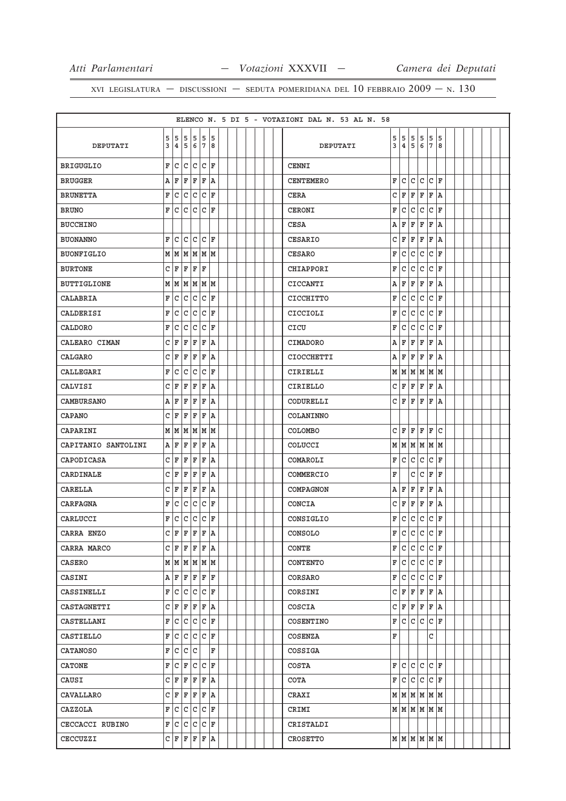|                     |              |                |   |                         |           |     |  |  |  | ELENCO N. 5 DI 5 - VOTAZIONI DAL N. 53 AL N. 58 |   |                         |     |              |              |                    |  |  |  |
|---------------------|--------------|----------------|---|-------------------------|-----------|-----|--|--|--|-------------------------------------------------|---|-------------------------|-----|--------------|--------------|--------------------|--|--|--|
|                     | 5            | 5              | 5 | 5                       |           | 5 5 |  |  |  |                                                 | 5 | 5                       | 5   | 5            | 5            | 5                  |  |  |  |
| DEPUTATI            | 3            | 4 <sup>1</sup> |   | 5 6                     | 7         | 8   |  |  |  | DEPUTATI                                        | 3 | 4                       | 5   | 6            | 7            | 8                  |  |  |  |
| <b>BRIGUGLIO</b>    | F            | С              | С | $\mathsf{C}$            |           | C F |  |  |  | CENNI                                           |   |                         |     |              |              |                    |  |  |  |
| <b>BRUGGER</b>      | Α            | F              | F | F                       |           | F A |  |  |  | <b>CENTEMERO</b>                                | F | с                       | l C | l c          | C            | ΙF                 |  |  |  |
| <b>BRUNETTA</b>     | F            | С              | С | С                       |           | C F |  |  |  | <b>CERA</b>                                     | C | ΙF                      | F   | F            | F            | A                  |  |  |  |
| <b>BRUNO</b>        | F.           | С              | С | c                       |           | C F |  |  |  | CERONI                                          | F | C                       | C   | C            | C            | ΙF                 |  |  |  |
| <b>BUCCHINO</b>     |              |                |   |                         |           |     |  |  |  | <b>CESA</b>                                     | А | ΙF                      | F   | F            | F            | A                  |  |  |  |
| <b>BUONANNO</b>     | F            | C              | c | C                       |           | C F |  |  |  | CESARIO                                         | С | F                       | F   | F            | F            | ١A                 |  |  |  |
| <b>BUONFIGLIO</b>   |              |                |   | M   M   M   M   M       |           |     |  |  |  | <b>CESARO</b>                                   | F | C                       | C   | C            | C            | F                  |  |  |  |
| <b>BURTONE</b>      | С            | F              | F | F                       | F         |     |  |  |  | CHIAPPORI                                       | F | С                       | C   | C            | C            | ΙF                 |  |  |  |
| <b>BUTTIGLIONE</b>  |              |                |   | M   M   M   M   M       |           |     |  |  |  | CICCANTI                                        | Α | F                       | F   | F            | F            | ١A                 |  |  |  |
| CALABRIA            | F            | С              | C | С                       | C         | ΙF  |  |  |  | <b>CICCHITTO</b>                                | F | C                       | C   | C            | C            | F                  |  |  |  |
| CALDERISI           | F            | С              | С | c                       |           | C F |  |  |  | <b>CICCIOLI</b>                                 | F | C                       | C   | c            | C            | ΙF                 |  |  |  |
| CALDORO             | F            | C              | С | С                       | C         | ΙF  |  |  |  | CICU                                            | F | C                       | С   | $\mathtt{C}$ | С            | F                  |  |  |  |
| CALEARO CIMAN       | c            | F              | F | F                       | F         | ١A  |  |  |  | <b>CIMADORO</b>                                 | Α | F                       | F   | ΙF           | F            | ١A                 |  |  |  |
| CALGARO             | с            | F              | F | F                       | F A       |     |  |  |  | <b>CIOCCHETTI</b>                               | Α | F                       | F   | F            | F            | ١A                 |  |  |  |
| CALLEGARI           | F            | С              | С | С                       | C         | F   |  |  |  | CIRIELLI                                        |   | MMMM                    |     |              | M            | lМ                 |  |  |  |
| CALVISI             |              | C F            | F | F                       | F         | ١A  |  |  |  | <b>CIRIELLO</b>                                 |   | C∣F                     | F   | F            | F            | ١A                 |  |  |  |
| <b>CAMBURSANO</b>   | А            | F              | F | F                       | F         | ١A  |  |  |  | CODURELLI                                       | c | ΙF                      | F   | F            | F            | A                  |  |  |  |
| <b>CAPANO</b>       |              | C F            | F | F                       |           | F A |  |  |  | COLANINNO                                       |   |                         |     |              |              |                    |  |  |  |
| CAPARINI            |              | MМ             | M | M                       |           | MM  |  |  |  | <b>COLOMBO</b>                                  | C | ΙF                      | F   | ΙF           | F            | C                  |  |  |  |
| CAPITANIO SANTOLINI |              | AF             | F | F                       | F         | ١A  |  |  |  | COLUCCI                                         |   | M M M M                 |     |              | M   M        |                    |  |  |  |
| CAPODICASA          |              | C F            | F | F                       | F         | ١A  |  |  |  | COMAROLI                                        | F | с                       | l C | $\mathtt{C}$ | $\mathtt{C}$ | ΙF                 |  |  |  |
| CARDINALE           | $\mathsf{C}$ | F              | F | F                       | F         | ١A  |  |  |  | COMMERCIO                                       | F |                         | C   | c            | F            | ΙF                 |  |  |  |
| CARELLA             |              | C F            | F | F                       | F         | ١A  |  |  |  | COMPAGNON                                       | Α | F                       | F   | F            | F            | A                  |  |  |  |
| CARFAGNA            | F            | С              | C | C                       | C         | ΙF  |  |  |  | CONCIA                                          | C | F                       | F   | F            | F            | A                  |  |  |  |
| CARLUCCI            | F            | С              | с | C                       |           | C F |  |  |  | CONSIGLIO                                       | F | C                       | c   | $\mathtt{C}$ | C            | ΙF                 |  |  |  |
| CARRA ENZO          |              | C F            |   | F F                     | F         | ١a  |  |  |  | CONSOLO                                         | F | c                       | c   | C            | C            | F                  |  |  |  |
| CARRA MARCO         |              |                |   | $C$ $F$ $F$ $F$ $F$ $A$ |           |     |  |  |  | CONTE                                           |   | F C                     |     | $ c c c _F$  |              |                    |  |  |  |
| CASERO              |              |                |   | M   M   M   M   M       |           |     |  |  |  | <b>CONTENTO</b>                                 |   | F C C C F               |     |              |              |                    |  |  |  |
| CASINI              |              |                |   | A F F F F F F           |           |     |  |  |  | CORSARO                                         |   | F∣C                     | lc. | lc.          |              | $ C $ $\mathbb{F}$ |  |  |  |
| CASSINELLI          |              |                |   | F C C C F               |           |     |  |  |  | CORSINI                                         |   | C F F F                 |     |              | F A          |                    |  |  |  |
| CASTAGNETTI         |              |                |   | $C$ $F$ $F$ $F$ $F$ $A$ |           |     |  |  |  | COSCIA                                          |   | C F                     |     | F F          | F A          |                    |  |  |  |
| CASTELLANI          |              | F C C          |   | $\mathsf{C}$            |           | C F |  |  |  | COSENTINO                                       |   | F C                     | c c |              |              | $ C $ F            |  |  |  |
| CASTIELLO           |              | F C C          |   |                         | $ C C $ F |     |  |  |  | COSENZA                                         | F |                         |     |              | C            |                    |  |  |  |
| <b>CATANOSO</b>     |              | F C            |   | c c                     |           | F   |  |  |  | COSSIGA                                         |   |                         |     |              |              |                    |  |  |  |
| <b>CATONE</b>       |              | F C F          |   |                         | C  C  F   |     |  |  |  | COSTA                                           |   | F C C C                 |     |              | $ C $ F      |                    |  |  |  |
| CAUSI               |              |                |   | C F F F F A             |           |     |  |  |  | COTA                                            |   | F∣C                     |     | c c          |              | $ C $ F            |  |  |  |
| CAVALLARO           |              |                |   | C F F F F A             |           |     |  |  |  | CRAXI                                           |   | M   M   M   M   M       |     |              |              |                    |  |  |  |
| CAZZOLA             |              |                |   | F C C C C F             |           |     |  |  |  | CRIMI                                           |   | $M$ $M$ $M$ $M$ $M$ $M$ |     |              |              |                    |  |  |  |
| CECCACCI RUBINO     |              |                |   | F C C C F               |           |     |  |  |  | CRISTALDI                                       |   |                         |     |              |              |                    |  |  |  |
| CECCUZZI            |              |                |   | C F F F F A             |           |     |  |  |  | CROSETTO                                        |   | м м м м м               |     |              |              |                    |  |  |  |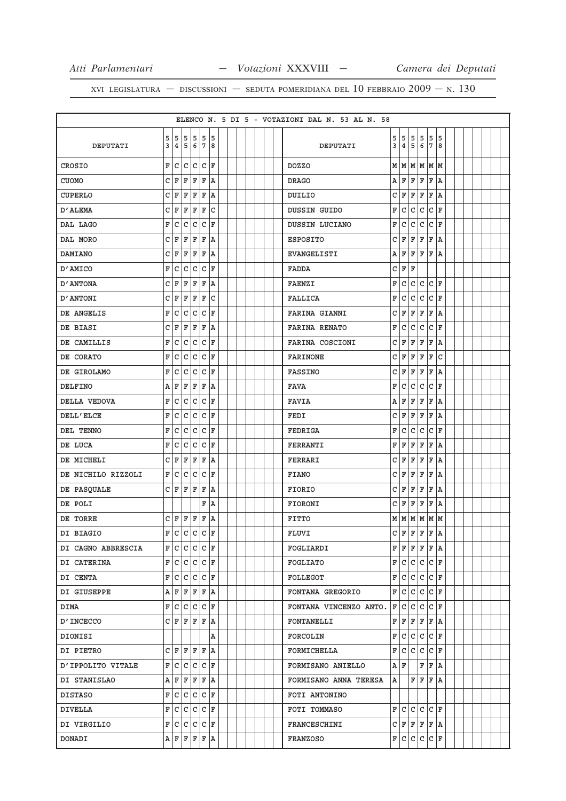|                    |   |       |                         |              |                |     |  |  |  |  | ELENCO N. 5 DI 5 - VOTAZIONI DAL N. 53 AL N. 58 |        |                         |              |              |     |                    |  |  |  |
|--------------------|---|-------|-------------------------|--------------|----------------|-----|--|--|--|--|-------------------------------------------------|--------|-------------------------|--------------|--------------|-----|--------------------|--|--|--|
|                    |   |       | 5 5 5 5 5 5             |              |                |     |  |  |  |  |                                                 |        |                         |              | 5            | 5   | 5                  |  |  |  |
| DEPUTATI           | 3 |       | 4 5 6 7 8               |              |                |     |  |  |  |  | DEPUTATI                                        | 5<br>3 | 5<br>4                  | 5<br>5       | 6            | 7   | 8                  |  |  |  |
| CROSIO             | F | lc.   | C                       | C            |                | C F |  |  |  |  | <b>DOZZO</b>                                    |        | MMMMMMM                 |              |              |     |                    |  |  |  |
| <b>CUOMO</b>       |   | C F   | F                       | ΙF           | $\mathbf{F}$   | ١A  |  |  |  |  | <b>DRAGO</b>                                    |        | A   F                   | F            | ΙF           | F   | ١A                 |  |  |  |
| CUPERLO            | C | F     | F                       | F            | F              | ١A  |  |  |  |  | DUILIO                                          | C      | ΙF                      | F            | F            | F   | A                  |  |  |  |
| D'ALEMA            |   | C   F | F                       | F            | F              | lc  |  |  |  |  | DUSSIN GUIDO                                    | F      | l c                     | c            | c            | lc. | ΙF                 |  |  |  |
| DAL LAGO           | F | C     | C                       | C            | C              | ΙF  |  |  |  |  | DUSSIN LUCIANO                                  | F      | C                       | $\mathtt{C}$ | C            | C   | F                  |  |  |  |
| DAL MORO           | C | F     | F                       | F            | $\mathbf F$    | ١A  |  |  |  |  | <b>ESPOSITO</b>                                 | C      | F                       | F            | F            | F   | ١A                 |  |  |  |
| <b>DAMIANO</b>     | C | F     | F                       | F            | $\mathbf F$    | ١A  |  |  |  |  | EVANGELISTI                                     | Α      | F                       | F            | ΙF           | F   | ١A                 |  |  |  |
| D'AMICO            | F | C     | C                       | С            |                | C F |  |  |  |  | <b>FADDA</b>                                    | C      | ΙF                      | F            |              |     |                    |  |  |  |
| D' ANTONA          | C | F     | F                       | F            | F              | ١A  |  |  |  |  | <b>FAENZI</b>                                   | F      | C                       | lc.          | lc           |     | $ c _{\mathbf{F}}$ |  |  |  |
| <b>D'ANTONI</b>    | C | F     | F                       | F            | F              | C   |  |  |  |  | FALLICA                                         | F      | C                       | C            | $\mathsf{C}$ | C   | ΙF                 |  |  |  |
| DE ANGELIS         | F | c     | C                       | lc.          |                | C F |  |  |  |  | <b>FARINA GIANNI</b>                            | C      | F                       | F            | F            | F   | ١A                 |  |  |  |
| DE BIASI           | C | F     | F                       | F            | $\mathbf F$    | ١A  |  |  |  |  | <b>FARINA RENATO</b>                            | F      | $\mathtt{C}$            | c            | $\mathtt{C}$ | C   | ΙF                 |  |  |  |
| DE CAMILLIS        | F | c     | $\mathtt{C}$            | $\mathtt{C}$ | $\overline{C}$ | ١F  |  |  |  |  | FARINA COSCIONI                                 | C      | F                       | l F          | F            | F   | ١A                 |  |  |  |
| DE CORATO          | F | C     | C                       | lc.          |                | C F |  |  |  |  | <b>FARINONE</b>                                 |        | C F                     | F            | F            | F   | ГC                 |  |  |  |
| DE GIROLAMO        | F | C     | c                       | C            | $\mathtt{C}$   | ΙF  |  |  |  |  | <b>FASSINO</b>                                  | C      | ΙF                      | F            | ΙF           | F   | A                  |  |  |  |
| <b>DELFINO</b>     |   | AF    | F                       | F            | F              | ١A  |  |  |  |  | <b>FAVA</b>                                     | F      | C                       | lc.          | lc           | lc. | ΙF                 |  |  |  |
| DELLA VEDOVA       | F | C     | С                       | C            | C              | F   |  |  |  |  | <b>FAVIA</b>                                    | Α      | F                       | F            | F            | F   | A                  |  |  |  |
| DELL'ELCE          | F | C     | C                       | c            |                | C F |  |  |  |  | FEDI                                            | C      | F                       | F            | F            | F   | ١A                 |  |  |  |
| DEL TENNO          | F | C     | C                       | $\mathtt{C}$ | C              | ΙF  |  |  |  |  | FEDRIGA                                         | F      | C                       | $\mathtt{C}$ | $\mathsf{C}$ | C   | ΙF                 |  |  |  |
| DE LUCA            | F | lc.   | lc.                     | lc.          |                | C F |  |  |  |  | FERRANTI                                        | F      | ΙF                      | F            | ΙF           | F   | ١A                 |  |  |  |
| DE MICHELI         | C | F     | F                       | F            | $\mathbf F$    | ١A  |  |  |  |  | FERRARI                                         | C      | F                       | F            | F            | F   | ١A                 |  |  |  |
| DE NICHILO RIZZOLI |   | F C   | С                       | lc.          |                | C F |  |  |  |  | <b>FIANO</b>                                    |        | C F                     | F            | ΙF           | F   | A                  |  |  |  |
| DE PASQUALE        |   | C F   | F                       | F            | F              | ١A  |  |  |  |  | FIORIO                                          |        | C∣F                     | F            | F            | F   | ١A                 |  |  |  |
| DE POLI            |   |       |                         |              |                | F A |  |  |  |  | <b>FIORONI</b>                                  | C      | F                       | F            | F            | F   | ١A                 |  |  |  |
| DE TORRE           |   |       | C F F F F A             |              |                |     |  |  |  |  | <b>FITTO</b>                                    |        | MM                      |              | MM           | M   | lм                 |  |  |  |
| DI BIAGIO          |   |       | F C C C                 |              |                | C F |  |  |  |  | FLUVI                                           |        | C F F                   |              | F            | F   | ١a                 |  |  |  |
| DI CAGNO ABBRESCIA |   |       | F C C C F               |              |                |     |  |  |  |  | FOGLIARDI                                       |        | $F$ $F$ $F$ $F$ $F$ $A$ |              |              |     |                    |  |  |  |
| DI CATERINA        |   |       | F C C C F               |              |                |     |  |  |  |  | FOGLIATO                                        |        | F C C C F               |              |              |     |                    |  |  |  |
| DI CENTA           |   |       | F C C C F               |              |                |     |  |  |  |  | FOLLEGOT                                        |        | F C C C F               |              |              |     |                    |  |  |  |
| DI GIUSEPPE        |   |       | A F F F F A             |              |                |     |  |  |  |  | FONTANA GREGORIO                                |        | F C C C F               |              |              |     |                    |  |  |  |
| DIMA               |   |       | F C C C C F             |              |                |     |  |  |  |  | FONTANA VINCENZO ANTO.                          |        | F C C C                 |              |              |     | $ C $ F            |  |  |  |
| <b>D'INCECCO</b>   |   |       | CFFFFFA                 |              |                |     |  |  |  |  | <b>FONTANELLI</b>                               |        | F F F F F A             |              |              |     |                    |  |  |  |
| DIONISI            |   |       |                         |              |                | Α   |  |  |  |  | FORCOLIN                                        |        | F C C C C F             |              |              |     |                    |  |  |  |
| DI PIETRO          |   |       | CFFFFFA                 |              |                |     |  |  |  |  | FORMICHELLA                                     |        | F C C C F               |              |              |     |                    |  |  |  |
| D'IPPOLITO VITALE  |   |       | F C C C F               |              |                |     |  |  |  |  | FORMISANO ANIELLO                               |        | AF                      |              |              |     | F F A              |  |  |  |
| DI STANISLAO       |   |       | A F F F F A             |              |                |     |  |  |  |  | FORMISANO ANNA TERESA                           | A      |                         |              |              |     | $F$ $F$ $F$ $A$    |  |  |  |
| DISTASO            |   |       | F C C C F               |              |                |     |  |  |  |  | FOTI ANTONINO                                   |        |                         |              |              |     |                    |  |  |  |
| DIVELLA            |   |       | F C C C C F             |              |                |     |  |  |  |  | FOTI TOMMASO                                    |        | F C C C F               |              |              |     |                    |  |  |  |
| DI VIRGILIO        |   |       | F C C C F               |              |                |     |  |  |  |  | FRANCESCHINI                                    |        | C F F F F A             |              |              |     |                    |  |  |  |
| DONADI             |   |       | $A$ $F$ $F$ $F$ $F$ $A$ |              |                |     |  |  |  |  | FRANZOSO                                        |        | F C C C C F             |              |              |     |                    |  |  |  |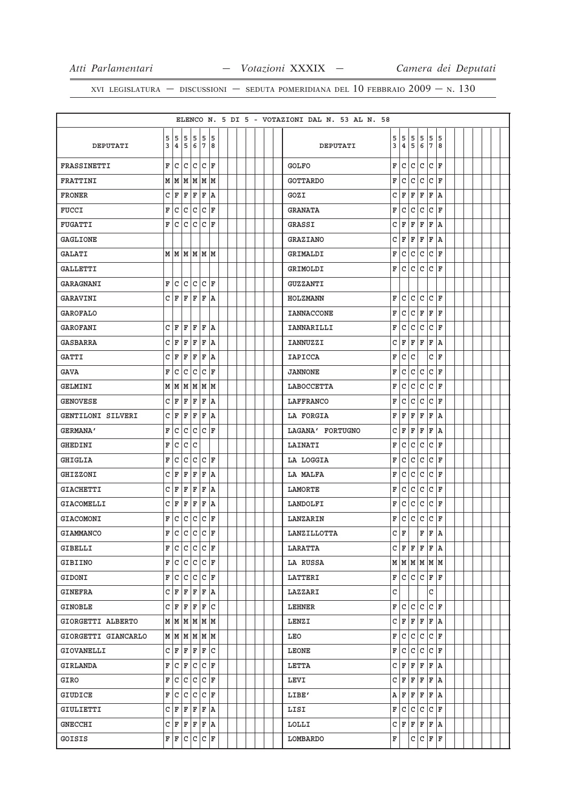|                     |              |                |              |                         |              |         |  |  |  |  | ELENCO N. 5 DI 5 - VOTAZIONI DAL N. 53 AL N. 58 |   |                         |     |              |              |         |  |  |  |
|---------------------|--------------|----------------|--------------|-------------------------|--------------|---------|--|--|--|--|-------------------------------------------------|---|-------------------------|-----|--------------|--------------|---------|--|--|--|
|                     | 5            |                | 5 5          | 5                       |              | 5 5     |  |  |  |  |                                                 | 5 | 5                       | 5   | 5            | 5            | 5       |  |  |  |
| DEPUTATI            | 3            | 4 <sup>1</sup> | 5            | 6                       | 7            | 8       |  |  |  |  | DEPUTATI                                        | 3 | 4                       | 5   | 6            | 7            | 8       |  |  |  |
| <b>FRASSINETTI</b>  | F            | С              | C            | $\mathsf{C}$            |              | C F     |  |  |  |  | <b>GOLFO</b>                                    | F | lc                      | lc. | lc           | $\mathtt{C}$ | ΙF      |  |  |  |
| FRATTINI            |              |                |              | M   M   M   M   M       |              |         |  |  |  |  | <b>GOTTARDO</b>                                 | F | C                       | C   | c            | C            | ΙF      |  |  |  |
| <b>FRONER</b>       | $\mathsf{C}$ | F              | F            | F                       | F            | ١A      |  |  |  |  | GOZI                                            | С | F                       | F   | F            | F            | A       |  |  |  |
| <b>FUCCI</b>        | F            | C              | C            | c.                      |              | C F     |  |  |  |  | <b>GRANATA</b>                                  | F | с                       | C   | $\mathtt{C}$ | C            | ΙF      |  |  |  |
| FUGATTI             | F            | С              | С            | c                       |              | C F     |  |  |  |  | GRASSI                                          | C | F                       | F   | F            | F            | A       |  |  |  |
| GAGLIONE            |              |                |              |                         |              |         |  |  |  |  | <b>GRAZIANO</b>                                 | C | F                       | F   | F            | F            | A       |  |  |  |
| <b>GALATI</b>       |              |                |              | MMMMMMM                 |              |         |  |  |  |  | GRIMALDI                                        | F | C                       | c   | $\mathtt{C}$ | C            | ΙF      |  |  |  |
| GALLETTI            |              |                |              |                         |              |         |  |  |  |  | GRIMOLDI                                        | F | lc.                     | c   | $\mathtt{C}$ | C            | ΙF      |  |  |  |
| GARAGNANI           | F            | c              |              | C C C F                 |              |         |  |  |  |  | GUZZANTI                                        |   |                         |     |              |              |         |  |  |  |
| GARAVINI            |              | CF             | F            | F                       | F            | ١A      |  |  |  |  | HOLZMANN                                        | F | C                       | C   | c            | C            | F       |  |  |  |
| <b>GAROFALO</b>     |              |                |              |                         |              |         |  |  |  |  | <b>IANNACCONE</b>                               | F | C                       | lc. | F            | F            | ΙF      |  |  |  |
| GAROFANI            | С            | F              | F            | F                       | F            | ١A      |  |  |  |  | IANNARILLI                                      | F | C                       | C   | c            | C            | F       |  |  |  |
| <b>GASBARRA</b>     | c            | ΙF             | F            | F                       | $\mathbf F$  | ١A      |  |  |  |  | IANNUZZI                                        | C | F                       | F   | F            | F            | A       |  |  |  |
| <b>GATTI</b>        | C            | F              | F            | F                       | F            | ١A      |  |  |  |  | <b>IAPICCA</b>                                  | F | С                       | C   |              | C            | F       |  |  |  |
| GAVA                | F            | C              | C            | С                       | С            | F       |  |  |  |  | <b>JANNONE</b>                                  | F | C                       | C   | с            | C            | ΙF      |  |  |  |
| GELMINI             |              |                |              | M   M   M   M   M       |              |         |  |  |  |  | LABOCCETTA                                      | F | С                       | l C | $\mathtt{C}$ | C            | ΙF      |  |  |  |
| <b>GENOVESE</b>     | C.           | F              | F            | F                       | F            | ١A      |  |  |  |  | LAFFRANCO                                       | F | C                       | C   | C            | C            | F       |  |  |  |
| GENTILONI SILVERI   |              | C F            | F            |                         | F F A        |         |  |  |  |  | LA FORGIA                                       | F | F                       | F   | F            | F            | ١A      |  |  |  |
| <b>GERMANA'</b>     | F            | C              | $\mathtt{C}$ | С                       | c            | ΙF      |  |  |  |  | LAGANA' FORTUGNO                                | C | F                       | F   | F            | F            | A       |  |  |  |
| GHEDINI             | F            | C              | $\mathtt{C}$ | C                       |              |         |  |  |  |  | LAINATI                                         | F | C                       | c   | $\mathtt{C}$ | C            | ΙF      |  |  |  |
| <b>GHIGLIA</b>      | F            | C              | C            | C                       | $\mathtt{C}$ | F       |  |  |  |  | LA LOGGIA                                       | F | $\mathtt{C}$            | C   | C            | C            | F       |  |  |  |
| <b>GHIZZONI</b>     | С            | F              | F            | F                       | F            | ١A      |  |  |  |  | LA MALFA                                        | F | C                       | C   | C            | C            | ΙF      |  |  |  |
| <b>GIACHETTI</b>    |              | C F            | F            | F                       | F            | ١A      |  |  |  |  | LAMORTE                                         | F | C                       | l C | l c          | C            | ΙF      |  |  |  |
| GIACOMELLI          | C.           | F              | F            | F                       | F            | ١A      |  |  |  |  | LANDOLFI                                        | F | С                       | C   | c            | C            | ΙF      |  |  |  |
| <b>GIACOMONI</b>    | F            | C              | С            | c                       |              | C F     |  |  |  |  | LANZARIN                                        | F | C                       | C   | $\mathtt{C}$ | $\mathtt{C}$ | F       |  |  |  |
| <b>GIAMMANCO</b>    | F            | C              | C            | С                       |              | C F     |  |  |  |  | LANZILLOTTA                                     | C | ΙF                      |     | $\mathbf F$  | F            | ١A      |  |  |  |
| GIBELLI             |              |                |              | F C C C F               |              |         |  |  |  |  | LARATTA                                         |   | C F F F F A             |     |              |              |         |  |  |  |
| <b>GIBIINO</b>      |              |                |              | F C C C F               |              |         |  |  |  |  | LA RUSSA                                        |   | м м м м м м             |     |              |              |         |  |  |  |
| GIDONI              |              |                | F C C        | c                       |              | $ C $ F |  |  |  |  | LATTERI                                         |   | F C C F F F             |     |              |              |         |  |  |  |
| <b>GINEFRA</b>      |              |                |              | $C$ $F$ $F$ $F$ $F$ $A$ |              |         |  |  |  |  | LAZZARI                                         | C |                         |     |              | C            |         |  |  |  |
| GINOBLE             |              |                |              | $C$ $F$ $F$ $F$ $C$     |              |         |  |  |  |  | <b>LEHNER</b>                                   |   | F C                     |     | lc Ic        |              | C   F   |  |  |  |
| GIORGETTI ALBERTO   |              |                |              | M   M   M   M   M       |              |         |  |  |  |  | LENZI                                           |   | C F F F F A             |     |              |              |         |  |  |  |
| GIORGETTI GIANCARLO |              |                |              | M   M   M   M   M       |              |         |  |  |  |  | LEO                                             | F | c                       | c   | c            |              | C F     |  |  |  |
| GIOVANELLI          |              |                |              | C F F F F C             |              |         |  |  |  |  | LEONE                                           |   | F C                     |     | c c          |              | $ c _F$ |  |  |  |
| GIRLANDA            |              |                |              | F C F C C F             |              |         |  |  |  |  | LETTA                                           |   | C F F F                 |     |              | F A          |         |  |  |  |
| GIRO                |              |                |              | F C C C F               |              |         |  |  |  |  | LEVI                                            |   | C F F F                 |     |              |              | F   A   |  |  |  |
| GIUDICE             |              |                |              | F C C C F               |              |         |  |  |  |  | LIBE'                                           |   | $A$ $F$ $F$ $F$ $F$ $A$ |     |              |              |         |  |  |  |
| GIULIETTI           |              |                |              | $C$ $F$ $F$ $F$ $F$ $A$ |              |         |  |  |  |  | LISI                                            |   | F∣C                     |     | c c          |              | $ c _F$ |  |  |  |
| <b>GNECCHI</b>      |              |                |              | $C$ $F$ $F$ $F$ $R$     |              |         |  |  |  |  | LOLLI                                           |   | C F F F F A             |     |              |              |         |  |  |  |
| GOISIS              |              |                |              | F F C C C F             |              |         |  |  |  |  | LOMBARDO                                        | F |                         | с   | c            | F            | F       |  |  |  |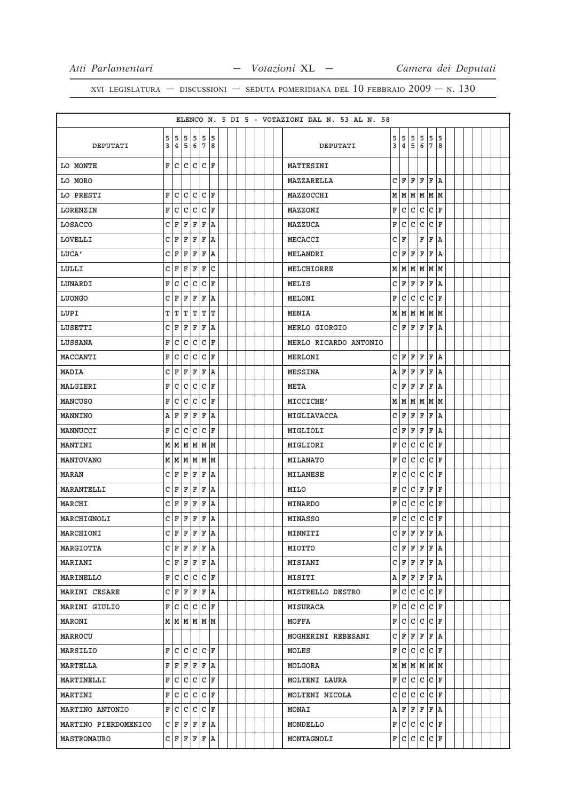|                      |        |      |                         |              |              |         |  |  |  | ELENCO N. 5 DI 5 - VOTAZIONI DAL N. 53 AL N. 58 |   |                         |               |     |              |                 |  |  |  |
|----------------------|--------|------|-------------------------|--------------|--------------|---------|--|--|--|-------------------------------------------------|---|-------------------------|---------------|-----|--------------|-----------------|--|--|--|
| DEPUTATI             | 5<br>3 |      | 5 5 5 5 5<br>4 5 6 7    |              |              | 18      |  |  |  | DEPUTATI                                        | 3 | 5 5                     | 4 5 6         |     | 5 5 5<br> 7  | 15<br>8         |  |  |  |
| LO MONTE             | F      | lc l |                         | <b>CCCCF</b> |              |         |  |  |  | MATTESINI                                       |   |                         |               |     |              |                 |  |  |  |
| LO MORO              |        |      |                         |              |              |         |  |  |  | MAZZARELLA                                      |   | $C$ $F$ $F$ $F$ $F$ $A$ |               |     |              |                 |  |  |  |
| LO PRESTI            | F      | C    | C                       | C            |              | C F     |  |  |  | MAZZOCCHI                                       |   | M   M   M   M   M   M   |               |     |              |                 |  |  |  |
| LORENZIN             | F      | c    | C                       | c.           |              | C F     |  |  |  | MAZZONI                                         | F |                         | $ c c c c _F$ |     |              |                 |  |  |  |
| LOSACCO              | С      | ΙF   | F                       | F            | F            | ١A      |  |  |  | MAZZUCA                                         | F | C                       | C             | c   | С            | F               |  |  |  |
| LOVELLI              | С      | F    | F                       | F            | F            | ١A      |  |  |  | MECACCI                                         |   | C F                     |               | F   | F            | ١A              |  |  |  |
| LUCA'                | C      | F    | F                       | F            | $\mathbf F$  | ١A      |  |  |  | MELANDRI                                        |   | C∣F                     | ΙF            | F   | F            | A               |  |  |  |
| LULLI                | C      | ΙF   | F                       | F            | F            | C       |  |  |  | MELCHIORRE                                      |   | M   M   M   M   M       |               |     |              |                 |  |  |  |
| LUNARDI              | F      | c    | С                       | C            | C            | ΙF      |  |  |  | MELIS                                           |   | C F F F                 |               |     | F            | A               |  |  |  |
| LUONGO               | С      | ΙF   | F                       | F            | F            | ١A      |  |  |  | MELONI                                          | F | С                       | lc.           | l C |              | C F             |  |  |  |
| LUPI                 | т      | T    | т                       | T            | т            | ΙT      |  |  |  | <b>MENIA</b>                                    |   | $M$ $M$ $M$ $M$ $M$ $M$ |               |     |              |                 |  |  |  |
| LUSETTI              | С      | ΙF   | F                       | F            | $\mathbf{F}$ | ١A      |  |  |  | MERLO GIORGIO                                   |   | C F F F F               |               |     |              | ١A              |  |  |  |
| LUSSANA              | F      | c    | С                       | $\mathtt{C}$ | $\mathtt{C}$ | ١F      |  |  |  | MERLO RICARDO ANTONIO                           |   |                         |               |     |              |                 |  |  |  |
| MACCANTI             | F      | c    | $\mathtt{C}$            | lc.          |              | C F     |  |  |  | MERLONI                                         |   | C F F F                 |               |     | F A          |                 |  |  |  |
| <b>MADIA</b>         | c      | ΙF   | F                       | F            | F            | ١A      |  |  |  | MESSINA                                         |   | A   F                   | F             | ΙF  | F            | ١A              |  |  |  |
| MALGIERI             | F      | l C  | C                       | l C          |              | C F     |  |  |  | <b>META</b>                                     |   | C F                     | F             | ΙF  | F            | ١A              |  |  |  |
| <b>MANCUSO</b>       | F      | C    | C                       | C            | C            | ١F      |  |  |  | MICCICHE'                                       |   | M   M   M   M   M       |               |     |              |                 |  |  |  |
| MANNINO              | Α      | F    | F                       | F            | F            | ١A      |  |  |  | MIGLIAVACCA                                     |   | C F F F F A             |               |     |              |                 |  |  |  |
| MANNUCCI             | F      | C    | С                       | C            | C            | ١F      |  |  |  | MIGLIOLI                                        |   | CFF                     |               | lF. | F            | ١A              |  |  |  |
| MANTINI              | М      |      | MMMMMM                  |              |              |         |  |  |  | MIGLIORI                                        | F | lc.                     |               | c c |              | $ C $ F         |  |  |  |
| <b>MANTOVANO</b>     |        |      | M   M   M   M   M       |              |              |         |  |  |  | <b>MILANATO</b>                                 | F |                         | c c c         |     |              | $ {\tt C}\, $ F |  |  |  |
| MARAN                | C      | ΙF   | F                       | F            | F            | ١A      |  |  |  | <b>MILANESE</b>                                 | F | C                       |               | c c |              | C F             |  |  |  |
| MARANTELLI           | С      | F    | F                       | F            | $\mathbf F$  | ١A      |  |  |  | MILO                                            | F |                         | C C F         |     | $\mathbf{F}$ | ١F              |  |  |  |
| MARCHI               | C      | ΙF   | F                       | F            | $\mathbf F$  | ١A      |  |  |  | <b>MINARDO</b>                                  | F | C                       | l C           | c   |              | $ C $ F         |  |  |  |
| MARCHIGNOLI          | C      | F    | F                       | F            | F            | ١A      |  |  |  | <b>MINASSO</b>                                  | F | lc.                     |               |     | $ c c c _F$  |                 |  |  |  |
| MARCHIONI            |        | C F  | F                       | ١F           | F            | ١a      |  |  |  | MINNITI                                         |   | $C$ $F$ $F$ $F$ $F$     |               |     |              | ۱A              |  |  |  |
| MARGIOTTA            |        |      | C F F F F A             |              |              |         |  |  |  | MIOTTO                                          |   | $C$ $F$ $F$ $F$ $R$     |               |     |              |                 |  |  |  |
| MARIANI              |        |      | $C$ $F$ $F$ $F$ $F$ $A$ |              |              |         |  |  |  | <b>MISIANI</b>                                  |   | C F F F F A             |               |     |              |                 |  |  |  |
| MARINELLO            |        |      | F C C C                 |              |              | $ c _F$ |  |  |  | MISITI                                          |   | A F F F F A             |               |     |              |                 |  |  |  |
| MARINI CESARE        |        |      | C F F F F A             |              |              |         |  |  |  | MISTRELLO DESTRO                                |   | F C C C F               |               |     |              |                 |  |  |  |
| MARINI GIULIO        |        |      | F C C C C F             |              |              |         |  |  |  | <b>MISURACA</b>                                 |   | F C C C F               |               |     |              |                 |  |  |  |
| <b>MARONI</b>        |        |      | M   M   M   M   M       |              |              |         |  |  |  | MOFFA                                           |   | F C C C F               |               |     |              |                 |  |  |  |
| MARROCU              |        |      |                         |              |              |         |  |  |  | MOGHERINI REBESANI                              |   | C F F F F A             |               |     |              |                 |  |  |  |
| MARSILIO             |        |      | F C C C F               |              |              |         |  |  |  | MOLES                                           |   | F C C C F               |               |     |              |                 |  |  |  |
| MARTELLA             |        |      | F F F F F A             |              |              |         |  |  |  | MOLGORA                                         |   | M   M   M   M   M       |               |     |              |                 |  |  |  |
| MARTINELLI           | F      |      | C C C F                 |              |              |         |  |  |  | MOLTENI LAURA                                   |   | F C C C F               |               |     |              |                 |  |  |  |
| <b>MARTINI</b>       |        |      | F C C C F               |              |              |         |  |  |  | MOLTENI NICOLA                                  |   | c c c c c F             |               |     |              |                 |  |  |  |
| MARTINO ANTONIO      |        |      | F C C C C F             |              |              |         |  |  |  | <b>MONAI</b>                                    |   | A F F F F A             |               |     |              |                 |  |  |  |
| MARTINO PIERDOMENICO |        |      | C F F F F A             |              |              |         |  |  |  | MONDELLO                                        |   | F C C C C F             |               |     |              |                 |  |  |  |
| MASTROMAURO          |        |      | C F F F F A             |              |              |         |  |  |  | MONTAGNOLI                                      |   | F C C C C F             |               |     |              |                 |  |  |  |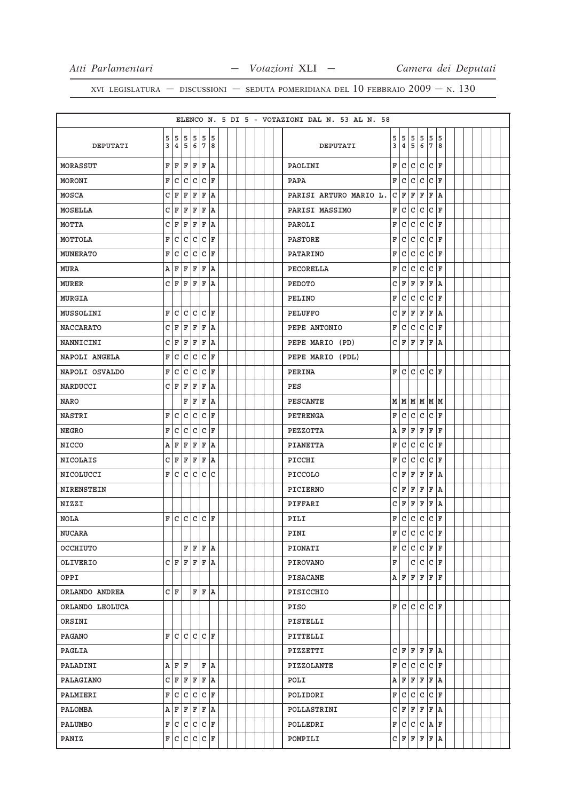|                  |        |     |                         |              |              |                 |  |  |  | ELENCO N. 5 DI 5 - VOTAZIONI DAL N. 53 AL N. 58 |              |              |              |              |        |         |  |  |  |
|------------------|--------|-----|-------------------------|--------------|--------------|-----------------|--|--|--|-------------------------------------------------|--------------|--------------|--------------|--------------|--------|---------|--|--|--|
|                  |        |     |                         |              |              |                 |  |  |  |                                                 |              |              |              |              |        |         |  |  |  |
| DEPUTATI         | 5<br>3 |     | 555<br>4 5 6 7          |              |              | 5 5<br>8        |  |  |  | DEPUTATI                                        | 5<br>3       | 5<br>4       | 5<br>5       | 5<br>6       | 5<br>7 | 5<br>8  |  |  |  |
| <b>MORASSUT</b>  | F      | ΙF  | F                       | F            | F            | ١A              |  |  |  | PAOLINI                                         | F            | ١c           | lc.          | lc           | lc.    | ١F      |  |  |  |
| <b>MORONI</b>    | F      | C   | C                       | C            |              | C F             |  |  |  | <b>PAPA</b>                                     | F            | lc.          | lc.          | lc           | lc.    | ΙF      |  |  |  |
| MOSCA            | C      | F   | F                       | F            | F            | ١A              |  |  |  | PARISI ARTURO MARIO L.                          | С            | ΙF           | F            | F            | F      | A       |  |  |  |
| MOSELLA          | c      | F   | F                       | F            | F            | ١A              |  |  |  | PARISI MASSIMO                                  | F            | l c          | l C          | l c          | l c    | ΙF      |  |  |  |
| MOTTA            | C      | F   | F                       | F            | $\mathbf F$  | ١A              |  |  |  | PAROLI                                          | F            | C            | $\mathtt{C}$ | $\mathtt{C}$ | C      | F       |  |  |  |
| MOTTOLA          | F      | lc. | C                       | C            | C            | ΙF              |  |  |  | PASTORE                                         | F            | C            | $\mathtt{C}$ | $\mathtt{C}$ | C      | ΙF      |  |  |  |
| <b>MUNERATO</b>  | F      | C   | С                       | $\mathtt{C}$ | $\mathtt{C}$ | F               |  |  |  | PATARINO                                        | F            | C            | $\mathtt{C}$ | $\mathsf{C}$ | C      | ΙF      |  |  |  |
| <b>MURA</b>      | (A)    | F   | F                       | F            | F            | ١A              |  |  |  | PECORELLA                                       | F            | C            | C            | c            | C      | ΙF      |  |  |  |
| <b>MURER</b>     |        | C F | F                       | F            | F            | ١A              |  |  |  | PEDOTO                                          | C            | F            | F            | F            | F      | ١A      |  |  |  |
| MURGIA           |        |     |                         |              |              |                 |  |  |  | PELINO                                          | F            | C            | C            | C            | C      | ΙF      |  |  |  |
| MUSSOLINI        | F      | lc. | c                       | c            |              | $ {\tt C}\, $ F |  |  |  | <b>PELUFFO</b>                                  | C            | F            | F            | F            | F      | ١A      |  |  |  |
| <b>NACCARATO</b> | C      | F   | F                       | F            | F            | ١A              |  |  |  | PEPE ANTONIO                                    | F            | C            | c            | $\mathtt{C}$ | C      | ΙF      |  |  |  |
| NANNICINI        | C      | F   | $\mathbb F$             | F            | $\mathbf F$  | ١A              |  |  |  | PEPE MARIO (PD)                                 | C            | ΙF           | F            | F            | F      | A       |  |  |  |
| NAPOLI ANGELA    | F      | C   | C                       | lc.          |              | C F             |  |  |  | PEPE MARIO (PDL)                                |              |              |              |              |        |         |  |  |  |
| NAPOLI OSVALDO   | F      | C   | С                       | $\mathtt{C}$ | C            | F               |  |  |  | PERINA                                          | F            | C            | lc.          | lc.          | lc.    | ΙF      |  |  |  |
| NARDUCCI         |        | СF  | ΙF                      | F            | $\mathbf F$  | ١A              |  |  |  | PES                                             |              |              |              |              |        |         |  |  |  |
| <b>NARO</b>      |        |     | F                       | F            | F            | ١A              |  |  |  | PESCANTE                                        | M            | M            | M            | M            | M      | M       |  |  |  |
| NASTRI           | F      | C   | c                       | C            |              | C F             |  |  |  | PETRENGA                                        | F            | l c          | c            | c            | c      | ΙF      |  |  |  |
| <b>NEGRO</b>     | F      | C   | C                       | C            | C            | ΙF              |  |  |  | PEZZOTTA                                        | А            | ΙF           | F            | F            | F      | F       |  |  |  |
| <b>NICCO</b>     | Α      | F   | F                       | F            | F            | ١A              |  |  |  | PIANETTA                                        | F            | C            | $\mathtt{C}$ | $\mathsf{C}$ | C      | ΙF      |  |  |  |
| <b>NICOLAIS</b>  | C      | F   | F                       | F            | $\mathbf F$  | ١A              |  |  |  | PICCHI                                          | F            | C            | С            | l c          | С      | ΙF      |  |  |  |
| NICOLUCCI        | F      | C   | c                       | C            | c            | C               |  |  |  | PICCOLO                                         | C            | ΙF           | F            | F            | F      | A       |  |  |  |
| NIRENSTEIN       |        |     |                         |              |              |                 |  |  |  | PICIERNO                                        | C            | F            | F            | F            | F      | ١A      |  |  |  |
| NIZZI            |        |     |                         |              |              |                 |  |  |  | PIFFARI                                         | C            | F            | F            | F            | F      | A       |  |  |  |
| <b>NOLA</b>      | F      | lc. |                         | $ c c c $ F  |              |                 |  |  |  | PILI                                            | F            | C            | $\mathtt{C}$ | c            | C      | F       |  |  |  |
| <b>NUCARA</b>    |        |     |                         |              |              |                 |  |  |  | PINI                                            | $\mathbf{F}$ | $\mathtt{C}$ | c            | $\mathtt{C}$ | C      | F       |  |  |  |
| OCCHIUTO         |        |     |                         |              |              | F F F A         |  |  |  | PIONATI                                         |              | F C          |              | C C F F      |        |         |  |  |  |
| OLIVERIO         |        |     | C   F   F   F   A       |              |              |                 |  |  |  | PIROVANO                                        | F            |              |              | c c          |        | $ C $ F |  |  |  |
| OPPI             |        |     |                         |              |              |                 |  |  |  | PISACANE                                        |              | A   F        |              | F   F        |        | F F     |  |  |  |
| ORLANDO ANDREA   |        | СF  |                         |              |              | F F A           |  |  |  | PISICCHIO                                       |              |              |              |              |        |         |  |  |  |
| ORLANDO LEOLUCA  |        |     |                         |              |              |                 |  |  |  | PISO                                            | F            | ١c           | lc.          | lc.          |        | C  F    |  |  |  |
| ORSINI           |        |     |                         |              |              |                 |  |  |  | PISTELLI                                        |              |              |              |              |        |         |  |  |  |
| PAGANO           |        |     | F C C C C F             |              |              |                 |  |  |  | PITTELLI                                        |              |              |              |              |        |         |  |  |  |
| PAGLIA           |        |     |                         |              |              |                 |  |  |  | PIZZETTI                                        |              | C F F F F A  |              |              |        |         |  |  |  |
| PALADINI         |        |     | A F F                   |              |              | F A             |  |  |  | PIZZOLANTE                                      | F            | C C C F      |              |              |        |         |  |  |  |
| PALAGIANO        |        |     | C F F F F A             |              |              |                 |  |  |  | POLI                                            |              | A   F        |              | F F          | F A    |         |  |  |  |
| PALMIERI         |        |     | F C C C C F             |              |              |                 |  |  |  | POLIDORI                                        |              | F C C C C F  |              |              |        |         |  |  |  |
| PALOMBA          |        |     | $A$ $F$ $F$ $F$ $F$ $A$ |              |              |                 |  |  |  | POLLASTRINI                                     | C            | F            |              | F F          | F A    |         |  |  |  |
| PALUMBO          |        |     | F C C C C F             |              |              |                 |  |  |  | POLLEDRI                                        |              | F C C C A F  |              |              |        |         |  |  |  |
| PANIZ            |        |     | F C C C C F             |              |              |                 |  |  |  | POMPILI                                         |              | C F F F F A  |              |              |        |         |  |  |  |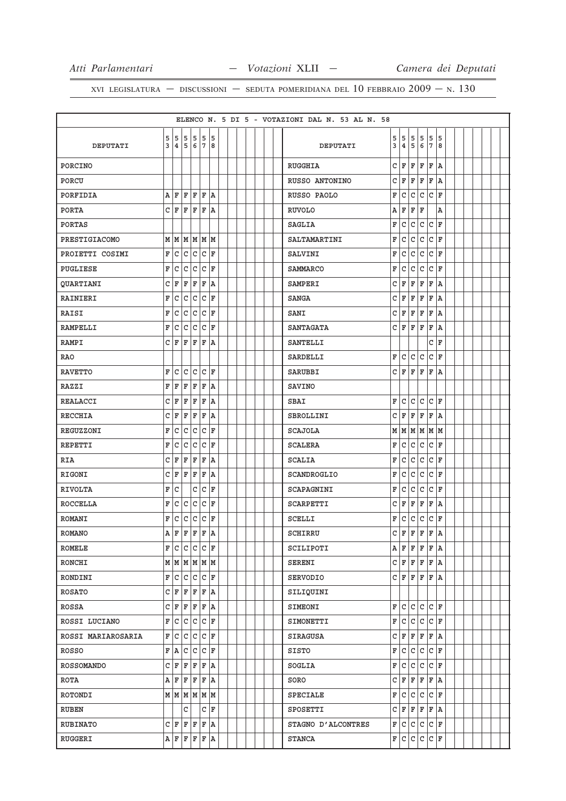|                    |                |              |                         |       |                           |                 |  |  |  | ELENCO N. 5 DI 5 - VOTAZIONI DAL N. 53 AL N. 58 |   |             |              |              |                          |         |  |  |  |
|--------------------|----------------|--------------|-------------------------|-------|---------------------------|-----------------|--|--|--|-------------------------------------------------|---|-------------|--------------|--------------|--------------------------|---------|--|--|--|
|                    | 5              |              | 5 5                     | 5 5 5 |                           |                 |  |  |  |                                                 | 5 | 15          | 5            | 5            | 5                        | 5       |  |  |  |
| DEPUTATI           | 3              |              | 4 5                     | 6 7   |                           | 8               |  |  |  | DEPUTATI                                        | 3 | 4           | 5            | 6            | 7                        | 8       |  |  |  |
| PORCINO            |                |              |                         |       |                           |                 |  |  |  | RUGGHIA                                         |   | C∣F         | F            | ΙF           | ΙF                       | ۱A      |  |  |  |
| PORCU              |                |              |                         |       |                           |                 |  |  |  | RUSSO ANTONINO                                  |   | C F         | F            | F            | F                        | ١A      |  |  |  |
| PORFIDIA           | Α              | ΙF           | ΙF                      | ΙF    | ΙF                        | ١A              |  |  |  | RUSSO PAOLO                                     | F | C           | С            | $\mathsf{C}$ | C                        | l F     |  |  |  |
| PORTA              | $\mathtt{C}$   | F            | F                       | F     | F A                       |                 |  |  |  | <b>RUVOLO</b>                                   | А | ΙF          | F            | ΙF           |                          | Α       |  |  |  |
| <b>PORTAS</b>      |                |              |                         |       |                           |                 |  |  |  | SAGLIA                                          | F | C           | C            | C            | C                        | F       |  |  |  |
| PRESTIGIACOMO      |                |              | M M M                   |       | MMM                       |                 |  |  |  | SALTAMARTINI                                    | F | c           | $\mathtt{C}$ | $\mathbf C$  | C                        | ١F      |  |  |  |
| PROIETTI COSIMI    | F              | c            | $\mathtt{C}$            | c     | c                         | F               |  |  |  | SALVINI                                         | F | C           | $\mathtt{C}$ | $\mathtt{C}$ | C                        | F       |  |  |  |
| PUGLIESE           | F              | $\mathtt{C}$ | $\mathtt{C}$            | c.    |                           | $ {\tt C}\, $ F |  |  |  | SAMMARCO                                        | F | c           | C            | C            | C                        | l F     |  |  |  |
| <b>QUARTIANI</b>   | C              | F            | F                       | F     | F                         | ١A              |  |  |  | SAMPERI                                         | C | ΙF          | F            | F            | F                        | ١A      |  |  |  |
| RAINIERI           | F              | C            | C                       | lc.   | $\mathtt{C}$              | ١F              |  |  |  | SANGA                                           |   | C F         | F            | F            | ΙF                       | A       |  |  |  |
| RAISI              | F              | c            | c                       |       | $ {\tt C}\, {\tt C}\, $ F |                 |  |  |  | SANI                                            |   | C F         | F            | F            | F                        | ١A      |  |  |  |
| <b>RAMPELLI</b>    | F              | C            | С                       | lc.   | C                         | F               |  |  |  | <b>SANTAGATA</b>                                | c | ΙF          | ΙF           | ΙF           | F                        | A       |  |  |  |
| <b>RAMPI</b>       | C              | F            | F                       | ΙF    | F                         | ١A              |  |  |  | <b>SANTELLI</b>                                 |   |             |              |              | C                        | ΙF      |  |  |  |
| <b>RAO</b>         |                |              |                         |       |                           |                 |  |  |  | SARDELLI                                        | F | lc          | lc.          | lc.          |                          | C F     |  |  |  |
| <b>RAVETTO</b>     | F              | lc.          | c                       | lc.   |                           | $ {\tt C}\, $ F |  |  |  | SARUBBI                                         |   | CIF         | l F          | ΙF           | F                        | ۱A      |  |  |  |
| <b>RAZZI</b>       | F              | F            | ΙF                      | F     | F                         | ١A              |  |  |  | <b>SAVINO</b>                                   |   |             |              |              |                          |         |  |  |  |
| REALACCI           | C              | ΙF           | F                       | F     | F                         | ١A              |  |  |  | SBAI                                            | F | с           | C            | lc.          |                          | C F     |  |  |  |
| RECCHIA            | С              | F            | F                       | F     | F                         | ١A              |  |  |  | SBROLLINI                                       |   | C∣F         |              | F F          | $\vert \mathbf{F} \vert$ | ۱A      |  |  |  |
| REGUZZONI          | F              | C            | C                       | C     | $\mathtt{C}$              | ١F              |  |  |  | <b>SCAJOLA</b>                                  |   | MMMM        |              |              | M                        | lм      |  |  |  |
| REPETTI            | F              | c            | $\mathtt{C}$            | c     | $\mathtt{C}$              | İF              |  |  |  | <b>SCALERA</b>                                  | F | lc          | c.           | c            | C                        | ١F      |  |  |  |
| RIA                | C              | F            | ΙF                      | F     | F                         | ١A              |  |  |  | SCALIA                                          | F | C           | $\mathtt{C}$ | c            | $ C $ F                  |         |  |  |  |
| RIGONI             | C              | ΙF           | ΙF                      | F     | F                         | ١A              |  |  |  | SCANDROGLIO                                     | F | c           | C            | C            | С                        | l F     |  |  |  |
| <b>RIVOLTA</b>     | F              | C            |                         | C     | $\mathtt{C}$              | F               |  |  |  | SCAPAGNINI                                      | F | C           | lc.          | $\mathtt{C}$ | C                        | ΙF      |  |  |  |
| ROCCELLA           | F              | C            | C                       | c     | $\mathtt{C}$              | ١F              |  |  |  | SCARPETTI                                       | C | ΙF          | F            | F            | F                        | ١A      |  |  |  |
| <b>ROMANI</b>      | F              | l C          | c                       | c.    |                           | $ {\tt C}\, $ F |  |  |  | SCELLI                                          | F | c           | C            | C            | C                        | ΙF      |  |  |  |
| <b>ROMANO</b>      | $\overline{A}$ | l F          | lF.                     | F     | l F                       | ١a              |  |  |  | SCHIRRU                                         |   | сlғ         | l F          | ΙF           | l F                      | A       |  |  |  |
| ROMELE             |                |              | F C C C F               |       |                           |                 |  |  |  | SCILIPOTI                                       |   | A F F F F A |              |              |                          |         |  |  |  |
| RONCHI             |                |              | $M$ $M$ $M$ $M$ $M$ $M$ |       |                           |                 |  |  |  | <b>SERENI</b>                                   |   | C F F F F A |              |              |                          |         |  |  |  |
| RONDINI            | $\mathbf F$    |              | c c                     |       | $ c c _F$                 |                 |  |  |  | SERVODIO                                        |   | C F F F F A |              |              |                          |         |  |  |  |
| <b>ROSATO</b>      |                |              | C F F F F A             |       |                           |                 |  |  |  | SILIQUINI                                       |   |             |              |              |                          |         |  |  |  |
| ROSSA              | C              | F            | F                       | F     | F A                       |                 |  |  |  | SIMEONI                                         |   | F C         |              | c c          | $ c _F$                  |         |  |  |  |
| ROSSI LUCIANO      | F              |              | c c                     |       |                           | $ c c _F$       |  |  |  | SIMONETTI                                       | F | c           |              | c c          |                          | $ c _F$ |  |  |  |
| ROSSI MARIAROSARIA | F              |              | c c                     |       | $ c c _F$                 |                 |  |  |  | SIRAGUSA                                        |   | C F         |              | F F          | F A                      |         |  |  |  |
| ROSSO              | F              | A            | $\mathtt{C}$            |       |                           | $ c c _F$       |  |  |  | SISTO                                           |   | F C         |              | c c          | $ c _F$                  |         |  |  |  |
| ROSSOMANDO         | C              |              | F F                     |       |                           | F F A           |  |  |  | SOGLIA                                          |   | F C C C     |              |              |                          | $ c _F$ |  |  |  |
| ROTA               | Α              | F            | F                       | F     |                           | F A             |  |  |  | SORO                                            |   | C F         | F            | F            |                          | F A     |  |  |  |
| ROTONDI            |                |              | $M$ $M$ $M$ $M$ $M$ $M$ |       |                           |                 |  |  |  | SPECIALE                                        |   | F C C C F   |              |              |                          |         |  |  |  |
| RUBEN              |                |              | C                       |       |                           | C F             |  |  |  | SPOSETTI                                        |   | C F F F F A |              |              |                          |         |  |  |  |
| RUBINATO           |                |              | C F F F F A             |       |                           |                 |  |  |  | STAGNO D'ALCONTRES                              |   | F C C C C F |              |              |                          |         |  |  |  |
| RUGGERI            |                |              | A F F F F A             |       |                           |                 |  |  |  | <b>STANCA</b>                                   |   | F C C C C F |              |              |                          |         |  |  |  |